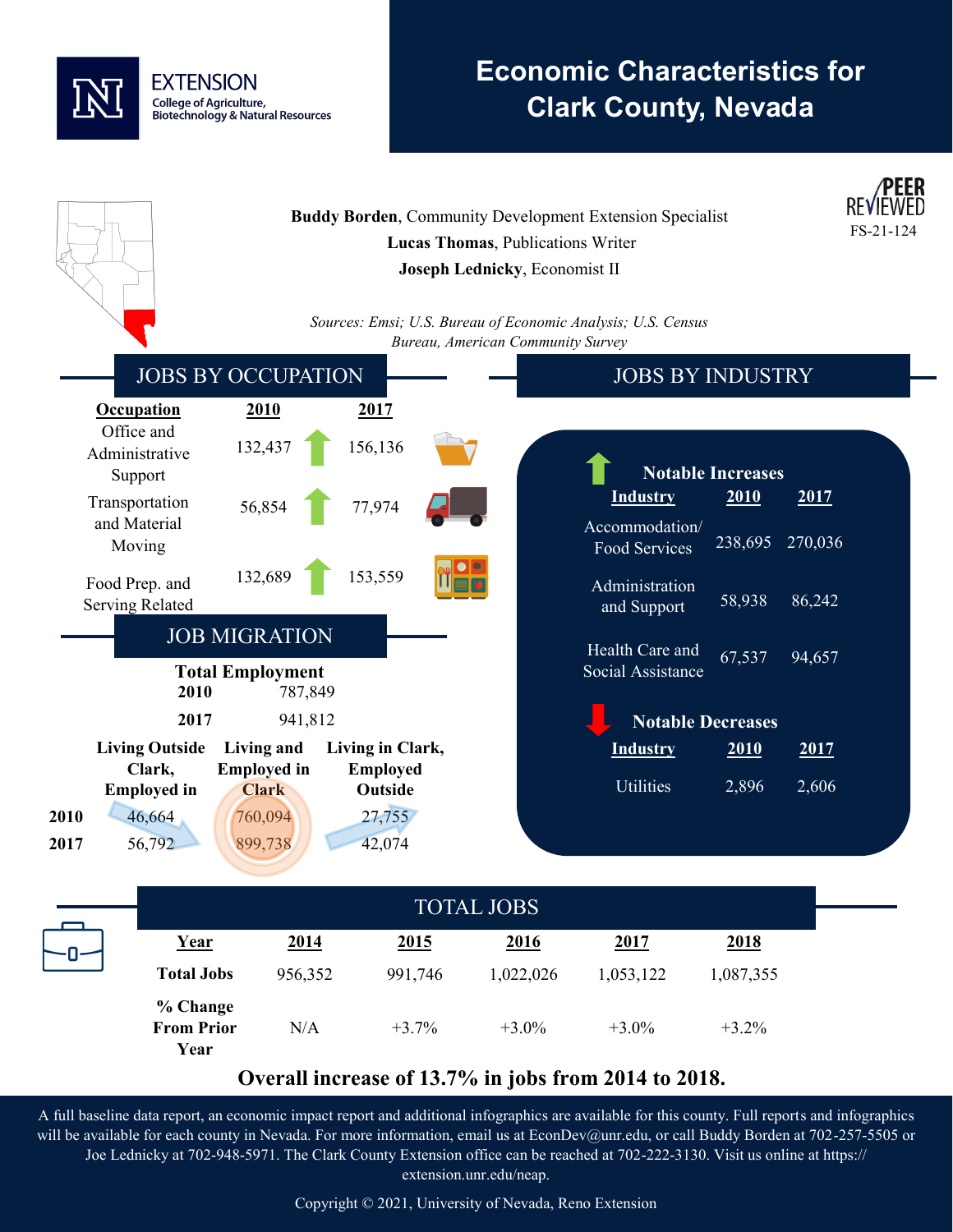

**From Prior** 

N/A

# **Economic Characteristics for Clark County, Nevada**



**Year**

 $+3.0%$ 

 $+3.0%$ 

+3.2%

+3.7%

### **Overall increase of 13.7% in jobs from 2014 to 2018.**

A full baseline data report, an economic impact report and additional infographics are available for this county. Full reports and infographics will be available for each county in Nevada. For more information, email us at EconDev@unr.edu, or call Buddy Borden at 702-257-5505 or Joe Lednicky at 702-948-5971. The Clark County Extension office can be reached at 702-222-3130. Visit us online at https:// extension.unr.edu/neap.